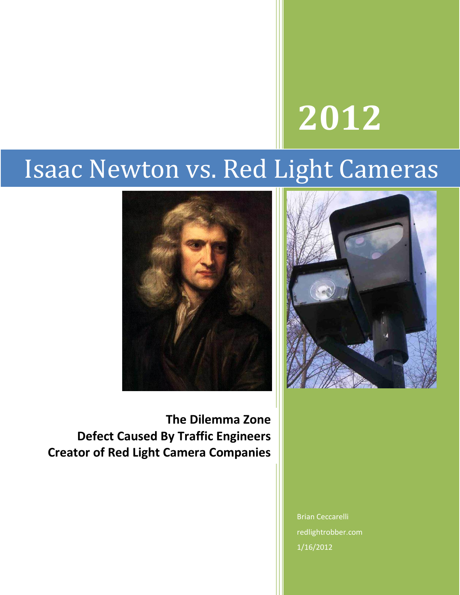# **2012**

# Isaac Newton vs. Red Light Cameras





**The Dilemma Zone Defect Caused By Traffic Engineers Creator of Red Light Camera Companies**

> Brian Ceccarelli redlightrobber.com 1/16/2012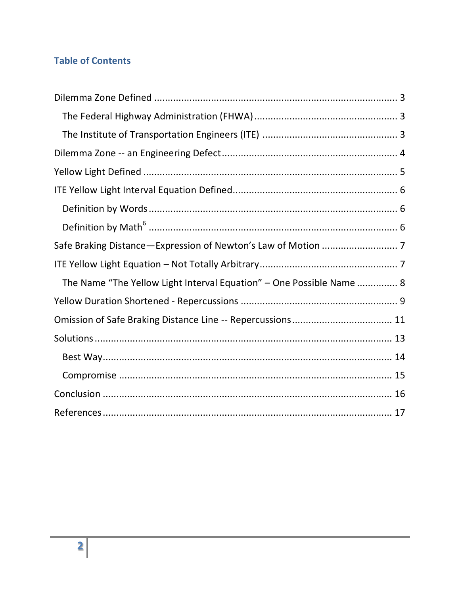# **Table of Contents**

| The Name "The Yellow Light Interval Equation" - One Possible Name  8 |
|----------------------------------------------------------------------|
|                                                                      |
|                                                                      |
|                                                                      |
|                                                                      |
|                                                                      |
|                                                                      |
|                                                                      |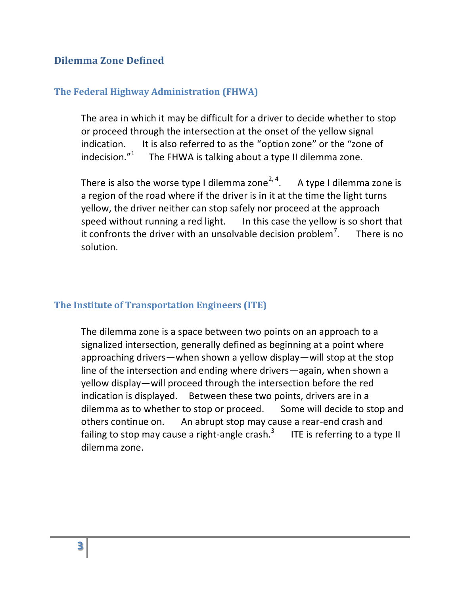#### <span id="page-2-0"></span>**Dilemma Zone Defined**

#### <span id="page-2-1"></span>**The Federal Highway Administration (FHWA)**

The area in which it may be difficult for a driver to decide whether to stop or proceed through the intersection at the onset of the yellow signal indication. It is also referred to as the "option zone" or the "zone of indecision. $1^2$  The FHWA is talking about a type II dilemma zone.

There is also the worse type I dilemma zone<sup>2, 4</sup>. A type I dilemma zone is a region of the road where if the driver is in it at the time the light turns yellow, the driver neither can stop safely nor proceed at the approach speed without running a red light. In this case the yellow is so short that it confronts the driver with an unsolvable decision problem<sup> $\ell$ </sup>. . There is no solution.

#### <span id="page-2-2"></span>**The Institute of Transportation Engineers (ITE)**

The dilemma zone is a space between two points on an approach to a signalized intersection, generally defined as beginning at a point where approaching drivers—when shown a yellow display—will stop at the stop line of the intersection and ending where drivers—again, when shown a yellow display—will proceed through the intersection before the red indication is displayed. Between these two points, drivers are in a dilemma as to whether to stop or proceed. Some will decide to stop and others continue on. An abrupt stop may cause a rear-end crash and failing to stop may cause a right-angle crash. $3$  ITE is referring to a type II dilemma zone.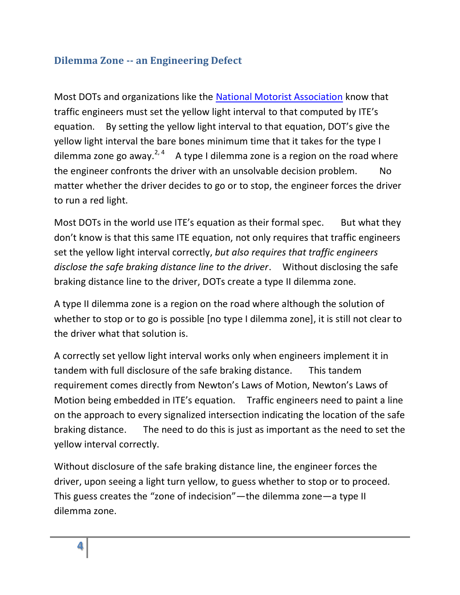#### <span id="page-3-0"></span>**Dilemma Zone -- an Engineering Defect**

Most DOTs and organizations like the [National Motorist Association](http://www.motorists.org/) know that traffic engineers must set the yellow light interval to that computed by ITE's equation. By setting the yellow light interval to that equation, DOT's give the yellow light interval the bare bones minimum time that it takes for the type I dilemma zone go away.<sup>2, 4</sup> A type I dilemma zone is a region on the road where the engineer confronts the driver with an unsolvable decision problem. No matter whether the driver decides to go or to stop, the engineer forces the driver to run a red light.

Most DOTs in the world use ITE's equation as their formal spec. But what they don't know is that this same ITE equation, not only requires that traffic engineers set the yellow light interval correctly, *but also requires that traffic engineers disclose the safe braking distance line to the driver*. Without disclosing the safe braking distance line to the driver, DOTs create a type II dilemma zone.

A type II dilemma zone is a region on the road where although the solution of whether to stop or to go is possible [no type I dilemma zone], it is still not clear to the driver what that solution is.

A correctly set yellow light interval works only when engineers implement it in tandem with full disclosure of the safe braking distance. This tandem requirement comes directly from Newton's Laws of Motion, Newton's Laws of Motion being embedded in ITE's equation. Traffic engineers need to paint a line on the approach to every signalized intersection indicating the location of the safe braking distance. The need to do this is just as important as the need to set the yellow interval correctly.

Without disclosure of the safe braking distance line, the engineer forces the driver, upon seeing a light turn yellow, to guess whether to stop or to proceed. This guess creates the "zone of indecision"—the dilemma zone—a type II dilemma zone.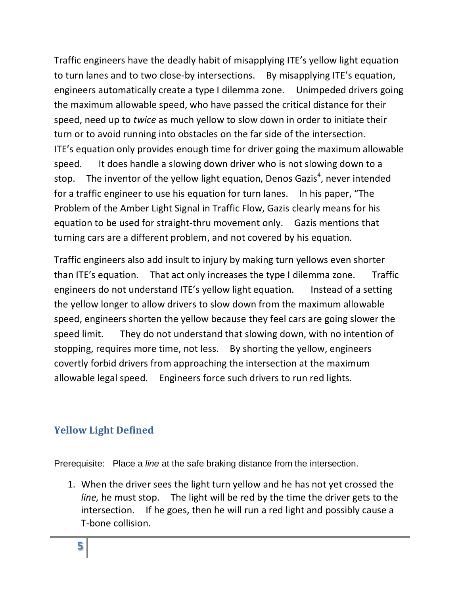Traffic engineers have the deadly habit of misapplying ITE's yellow light equation to turn lanes and to two close-by intersections. By misapplying ITE's equation, engineers automatically create a type I dilemma zone. Unimpeded drivers going the maximum allowable speed, who have passed the critical distance for their speed, need up to *twice* as much yellow to slow down in order to initiate their turn or to avoid running into obstacles on the far side of the intersection. ITE's equation only provides enough time for driver going the maximum allowable speed. It does handle a slowing down driver who is not slowing down to a stop. The inventor of the yellow light equation, Denos Gazis<sup>4</sup>, never intended for a traffic engineer to use his equation for turn lanes. In his paper, "The Problem of the Amber Light Signal in Traffic Flow, Gazis clearly means for his equation to be used for straight-thru movement only. Gazis mentions that turning cars are a different problem, and not covered by his equation.

Traffic engineers also add insult to injury by making turn yellows even shorter than ITE's equation. That act only increases the type I dilemma zone. Traffic engineers do not understand ITE's yellow light equation. Instead of a setting the yellow longer to allow drivers to slow down from the maximum allowable speed, engineers shorten the yellow because they feel cars are going slower the speed limit. They do not understand that slowing down, with no intention of stopping, requires more time, not less. By shorting the yellow, engineers covertly forbid drivers from approaching the intersection at the maximum allowable legal speed. Engineers force such drivers to run red lights.

#### <span id="page-4-0"></span>**Yellow Light Defined**

Prerequisite: Place a *line* at the safe braking distance from the intersection.

1. When the driver sees the light turn yellow and he has not yet crossed the *line,* he must stop. The light will be red by the time the driver gets to the intersection. If he goes, then he will run a red light and possibly cause a T-bone collision.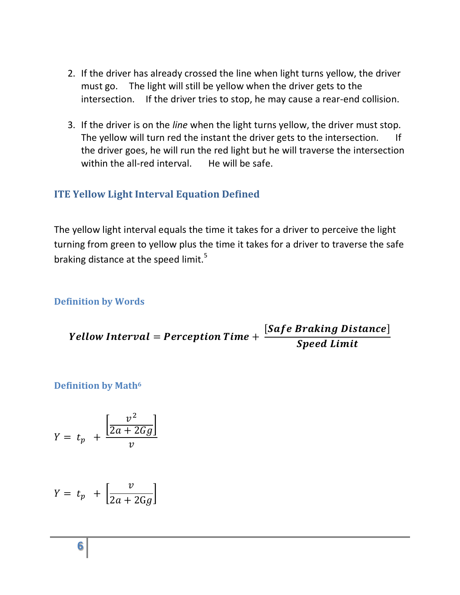- 2. If the driver has already crossed the line when light turns yellow, the driver must go. The light will still be yellow when the driver gets to the intersection. If the driver tries to stop, he may cause a rear-end collision.
- 3. If the driver is on the *line* when the light turns yellow, the driver must stop. The yellow will turn red the instant the driver gets to the intersection. If the driver goes, he will run the red light but he will traverse the intersection within the all-red interval. He will be safe.

#### <span id="page-5-0"></span>**ITE Yellow Light Interval Equation Defined**

The yellow light interval equals the time it takes for a driver to perceive the light turning from green to yellow plus the time it takes for a driver to traverse the safe braking distance at the speed limit.<sup>5</sup>

<span id="page-5-1"></span>**Definition by Words**

Y [Safe Braking Distance]  $\boldsymbol{S}$ 

<span id="page-5-2"></span>**Definition by Math<sup>6</sup>**

$$
Y = t_p + \frac{\left[\frac{v^2}{2a + 2Gg}\right]}{v}
$$

$$
Y = t_p + \left[\frac{v}{2a + 2Gg}\right]
$$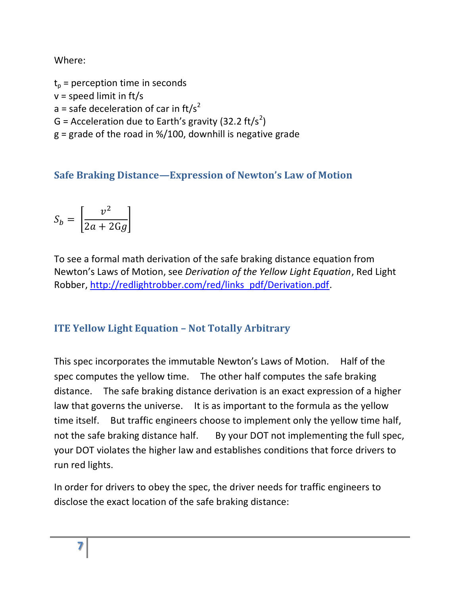Where:

 $t_p$  = perception time in seconds  $v = speed$  limit in ft/s a = safe deceleration of car in ft/s<sup>2</sup> G = Acceleration due to Earth's gravity (32.2 ft/s<sup>2</sup>)  $g =$  grade of the road in %/100, downhill is negative grade

<span id="page-6-0"></span>**Safe Braking Distance—Expression of Newton's Law of Motion**

$$
S_b = \left[\frac{v^2}{2a + 2Gg}\right]
$$

To see a formal math derivation of the safe braking distance equation from Newton's Laws of Motion, see *Derivation of the Yellow Light Equation*, Red Light Robber, [http://redlightrobber.com/red/links\\_pdf/Derivation.pdf.](http://redlightrobber.com/red/links_pdf/Derivation.pdf)

# <span id="page-6-1"></span>**ITE Yellow Light Equation – Not Totally Arbitrary**

This spec incorporates the immutable Newton's Laws of Motion. Half of the spec computes the yellow time. The other half computes the safe braking distance. The safe braking distance derivation is an exact expression of a higher law that governs the universe. It is as important to the formula as the yellow time itself. But traffic engineers choose to implement only the yellow time half, not the safe braking distance half. By your DOT not implementing the full spec, your DOT violates the higher law and establishes conditions that force drivers to run red lights.

In order for drivers to obey the spec, the driver needs for traffic engineers to disclose the exact location of the safe braking distance: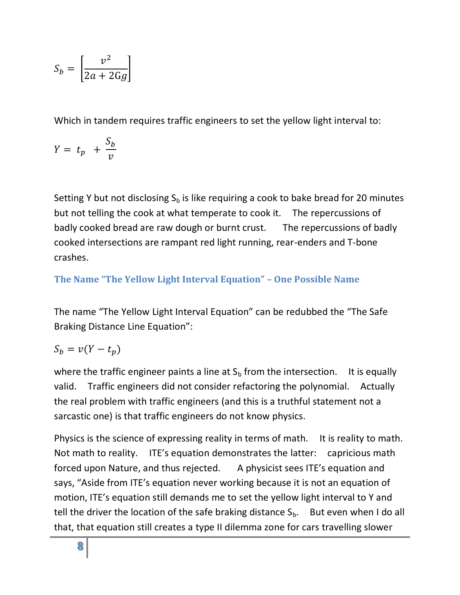$$
S_b = \left[\frac{v^2}{2a + 2Gg}\right]
$$

Which in tandem requires traffic engineers to set the yellow light interval to:

$$
Y = t_p + \frac{S_b}{v}
$$

Setting Y but not disclosing  $S_b$  is like requiring a cook to bake bread for 20 minutes but not telling the cook at what temperate to cook it. The repercussions of badly cooked bread are raw dough or burnt crust. The repercussions of badly cooked intersections are rampant red light running, rear-enders and T-bone crashes.

<span id="page-7-0"></span>**The Name "The Yellow Light Interval Equation" – One Possible Name**

The name "The Yellow Light Interval Equation" can be redubbed the "The Safe Braking Distance Line Equation":

$$
S_b = v(Y - t_p)
$$

where the traffic engineer paints a line at  $S_b$  from the intersection. It is equally valid. Traffic engineers did not consider refactoring the polynomial. Actually the real problem with traffic engineers (and this is a truthful statement not a sarcastic one) is that traffic engineers do not know physics.

Physics is the science of expressing reality in terms of math. It is reality to math. Not math to reality. ITE's equation demonstrates the latter: capricious math forced upon Nature, and thus rejected. A physicist sees ITE's equation and says, "Aside from ITE's equation never working because it is not an equation of motion, ITE's equation still demands me to set the yellow light interval to Y and tell the driver the location of the safe braking distance  $S_b$ . But even when I do all that, that equation still creates a type II dilemma zone for cars travelling slower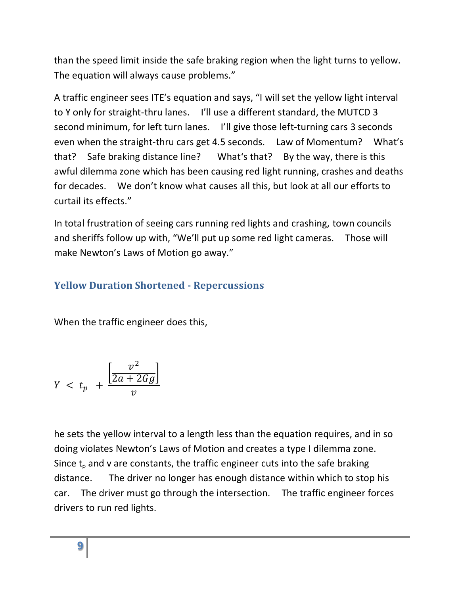than the speed limit inside the safe braking region when the light turns to yellow. The equation will always cause problems."

A traffic engineer sees ITE's equation and says, "I will set the yellow light interval to Y only for straight-thru lanes. I'll use a different standard, the MUTCD 3 second minimum, for left turn lanes. I'll give those left-turning cars 3 seconds even when the straight-thru cars get 4.5 seconds. Law of Momentum? What's that? Safe braking distance line? What's that? By the way, there is this awful dilemma zone which has been causing red light running, crashes and deaths for decades. We don't know what causes all this, but look at all our efforts to curtail its effects."

In total frustration of seeing cars running red lights and crashing, town councils and sheriffs follow up with, "We'll put up some red light cameras. Those will make Newton's Laws of Motion go away."

# <span id="page-8-0"></span>**Yellow Duration Shortened - Repercussions**

When the traffic engineer does this,

$$
Y < t_p + \frac{\left[\frac{v^2}{2a + 2Gg}\right]}{v}
$$

he sets the yellow interval to a length less than the equation requires, and in so doing violates Newton's Laws of Motion and creates a type I dilemma zone. Since  $t_p$  and v are constants, the traffic engineer cuts into the safe braking distance. The driver no longer has enough distance within which to stop his car. The driver must go through the intersection. The traffic engineer forces drivers to run red lights.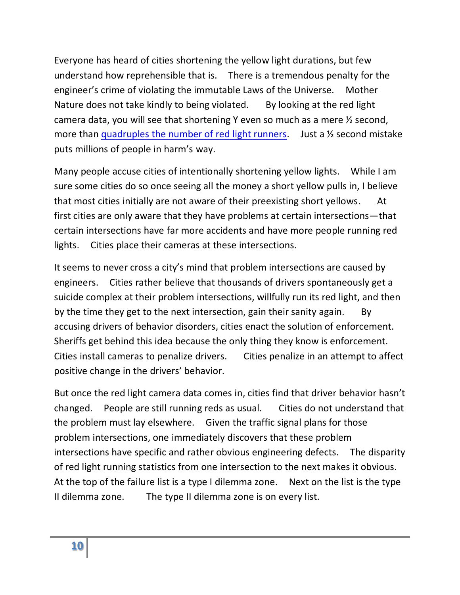Everyone has heard of cities shortening the yellow light durations, but few understand how reprehensible that is. There is a tremendous penalty for the engineer's crime of violating the immutable Laws of the Universe. Mother Nature does not take kindly to being violated. By looking at the red light camera data, you will see that shortening Y even so much as a mere ½ second, more than quadruples [the number of red light runners.](http://redlightrobber.com/red/links_pdf/How-Yellow-Intervals-Affect-Red-Light-Running.pdf) Just a  $\frac{1}{2}$  second mistake puts millions of people in harm's way.

Many people accuse cities of intentionally shortening yellow lights. While I am sure some cities do so once seeing all the money a short yellow pulls in, I believe that most cities initially are not aware of their preexisting short yellows. At first cities are only aware that they have problems at certain intersections—that certain intersections have far more accidents and have more people running red lights. Cities place their cameras at these intersections.

It seems to never cross a city's mind that problem intersections are caused by engineers. Cities rather believe that thousands of drivers spontaneously get a suicide complex at their problem intersections, willfully run its red light, and then by the time they get to the next intersection, gain their sanity again. By accusing drivers of behavior disorders, cities enact the solution of enforcement. Sheriffs get behind this idea because the only thing they know is enforcement. Cities install cameras to penalize drivers. Cities penalize in an attempt to affect positive change in the drivers' behavior.

But once the red light camera data comes in, cities find that driver behavior hasn't changed. People are still running reds as usual. Cities do not understand that the problem must lay elsewhere. Given the traffic signal plans for those problem intersections, one immediately discovers that these problem intersections have specific and rather obvious engineering defects. The disparity of red light running statistics from one intersection to the next makes it obvious. At the top of the failure list is a type I dilemma zone. Next on the list is the type II dilemma zone. The type II dilemma zone is on every list.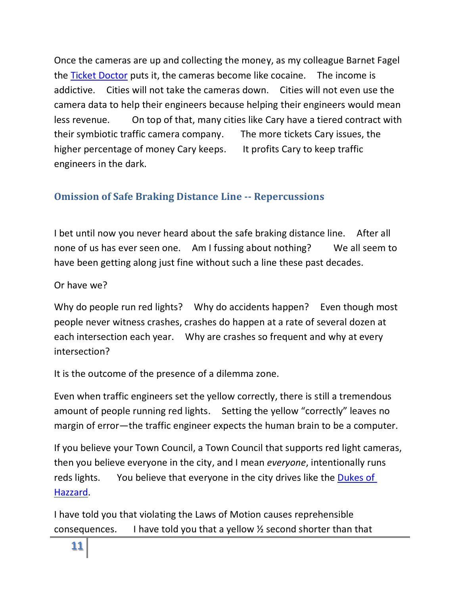Once the cameras are up and collecting the money, as my colleague Barnet Fagel the [Ticket Doctor](http://www.theticketdoctor.net/) puts it, the cameras become like cocaine. The income is addictive. Cities will not take the cameras down. Cities will not even use the camera data to help their engineers because helping their engineers would mean less revenue. On top of that, many cities like Cary have a tiered contract with their symbiotic traffic camera company. The more tickets Cary issues, the higher percentage of money Cary keeps. It profits Cary to keep traffic engineers in the dark.

## <span id="page-10-0"></span>**Omission of Safe Braking Distance Line -- Repercussions**

I bet until now you never heard about the safe braking distance line. After all none of us has ever seen one. Am I fussing about nothing? We all seem to have been getting along just fine without such a line these past decades.

Or have we?

Why do people run red lights? Why do accidents happen? Even though most people never witness crashes, crashes do happen at a rate of several dozen at each intersection each year. Why are crashes so frequent and why at every intersection?

It is the outcome of the presence of a dilemma zone.

Even when traffic engineers set the yellow correctly, there is still a tremendous amount of people running red lights. Setting the yellow "correctly" leaves no margin of error—the traffic engineer expects the human brain to be a computer.

If you believe your Town Council, a Town Council that supports red light cameras, then you believe everyone in the city, and I mean *everyone*, intentionally runs reds lights. You believe that everyone in the city drives like the [Dukes of](http://www2.warnerbros.com/dukesofhazzard/index.html)  [Hazzard.](http://www2.warnerbros.com/dukesofhazzard/index.html)

I have told you that violating the Laws of Motion causes reprehensible consequences. I have told you that a yellow ½ second shorter than that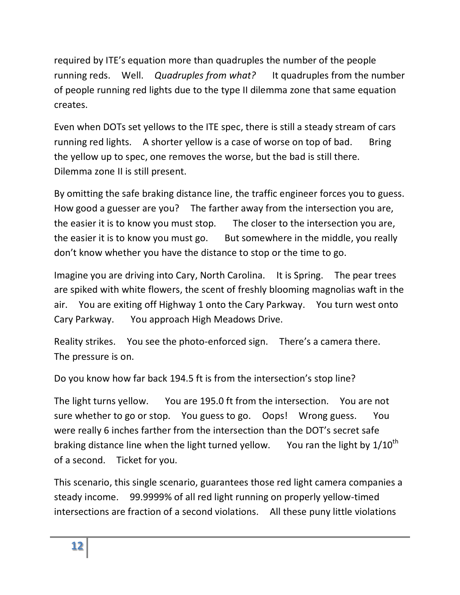required by ITE's equation more than quadruples the number of the people running reds. Well. *Quadruples from what?* It quadruples from the number of people running red lights due to the type II dilemma zone that same equation creates.

Even when DOTs set yellows to the ITE spec, there is still a steady stream of cars running red lights. A shorter yellow is a case of worse on top of bad. Bring the yellow up to spec, one removes the worse, but the bad is still there. Dilemma zone II is still present.

By omitting the safe braking distance line, the traffic engineer forces you to guess. How good a guesser are you? The farther away from the intersection you are, the easier it is to know you must stop. The closer to the intersection you are, the easier it is to know you must go. But somewhere in the middle, you really don't know whether you have the distance to stop or the time to go.

Imagine you are driving into Cary, North Carolina. It is Spring. The pear trees are spiked with white flowers, the scent of freshly blooming magnolias waft in the air. You are exiting off Highway 1 onto the Cary Parkway. You turn west onto Cary Parkway. You approach High Meadows Drive.

Reality strikes. You see the photo-enforced sign. There's a camera there. The pressure is on.

Do you know how far back 194.5 ft is from the intersection's stop line?

The light turns yellow. You are 195.0 ft from the intersection. You are not sure whether to go or stop. You guess to go. Oops! Wrong guess. You were really 6 inches farther from the intersection than the DOT's secret safe braking distance line when the light turned yellow. You ran the light by  $1/10^{th}$ of a second. Ticket for you.

This scenario, this single scenario, guarantees those red light camera companies a steady income. 99.9999% of all red light running on properly yellow-timed intersections are fraction of a second violations. All these puny little violations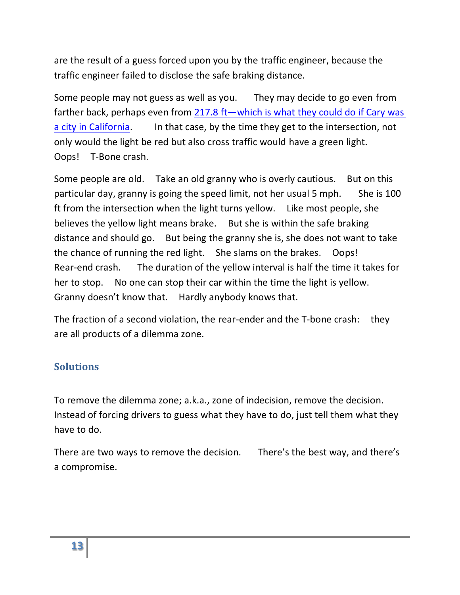are the result of a guess forced upon you by the traffic engineer, because the traffic engineer failed to disclose the safe braking distance.

Some people may not guess as well as you. They may decide to go even from farther back, perhaps even from  $217.8$  ft—which is what they could do if Cary was [a city in California.](http://redlightrobber.com/red/links_pdf/Yellow-Time-Table.xls) In that case, by the time they get to the intersection, not only would the light be red but also cross traffic would have a green light. Oops! T-Bone crash.

Some people are old. Take an old granny who is overly cautious. But on this particular day, granny is going the speed limit, not her usual 5 mph. She is 100 ft from the intersection when the light turns yellow. Like most people, she believes the yellow light means brake. But she is within the safe braking distance and should go. But being the granny she is, she does not want to take the chance of running the red light. She slams on the brakes. Oops! Rear-end crash. The duration of the yellow interval is half the time it takes for her to stop. No one can stop their car within the time the light is yellow. Granny doesn't know that. Hardly anybody knows that.

The fraction of a second violation, the rear-ender and the T-bone crash: they are all products of a dilemma zone.

#### <span id="page-12-0"></span>**Solutions**

To remove the dilemma zone; a.k.a., zone of indecision, remove the decision. Instead of forcing drivers to guess what they have to do, just tell them what they have to do.

There are two ways to remove the decision. There's the best way, and there's a compromise.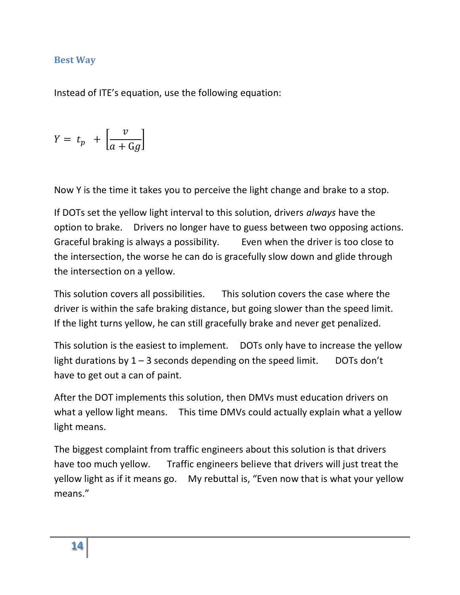#### <span id="page-13-0"></span>**Best Way**

Instead of ITE's equation, use the following equation:

$$
Y = t_p + \left[\frac{v}{a + \text{G}g}\right]
$$

Now Y is the time it takes you to perceive the light change and brake to a stop.

If DOTs set the yellow light interval to this solution, drivers *always* have the option to brake. Drivers no longer have to guess between two opposing actions. Graceful braking is always a possibility. Even when the driver is too close to the intersection, the worse he can do is gracefully slow down and glide through the intersection on a yellow.

This solution covers all possibilities. This solution covers the case where the driver is within the safe braking distance, but going slower than the speed limit. If the light turns yellow, he can still gracefully brake and never get penalized.

This solution is the easiest to implement. DOTs only have to increase the yellow light durations by  $1 - 3$  seconds depending on the speed limit. DOTs don't have to get out a can of paint.

After the DOT implements this solution, then DMVs must education drivers on what a yellow light means. This time DMVs could actually explain what a yellow light means.

The biggest complaint from traffic engineers about this solution is that drivers have too much yellow. Traffic engineers believe that drivers will just treat the yellow light as if it means go. My rebuttal is, "Even now that is what your yellow means."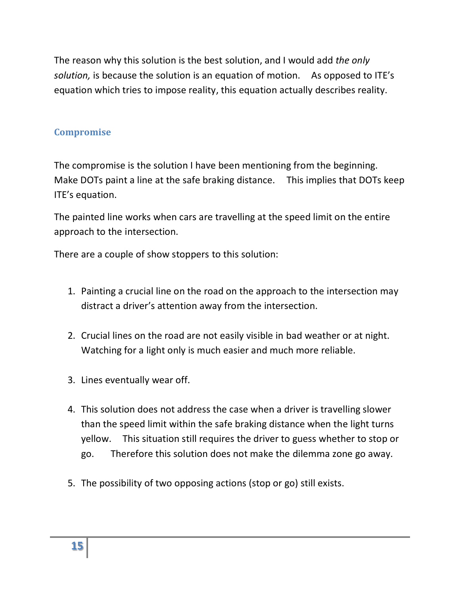The reason why this solution is the best solution, and I would add *the only solution,* is because the solution is an equation of motion. As opposed to ITE's equation which tries to impose reality, this equation actually describes reality.

#### <span id="page-14-0"></span>**Compromise**

The compromise is the solution I have been mentioning from the beginning. Make DOTs paint a line at the safe braking distance. This implies that DOTs keep ITE's equation.

The painted line works when cars are travelling at the speed limit on the entire approach to the intersection.

There are a couple of show stoppers to this solution:

- 1. Painting a crucial line on the road on the approach to the intersection may distract a driver's attention away from the intersection.
- 2. Crucial lines on the road are not easily visible in bad weather or at night. Watching for a light only is much easier and much more reliable.
- 3. Lines eventually wear off.
- 4. This solution does not address the case when a driver is travelling slower than the speed limit within the safe braking distance when the light turns yellow. This situation still requires the driver to guess whether to stop or go. Therefore this solution does not make the dilemma zone go away.
- 5. The possibility of two opposing actions (stop or go) still exists.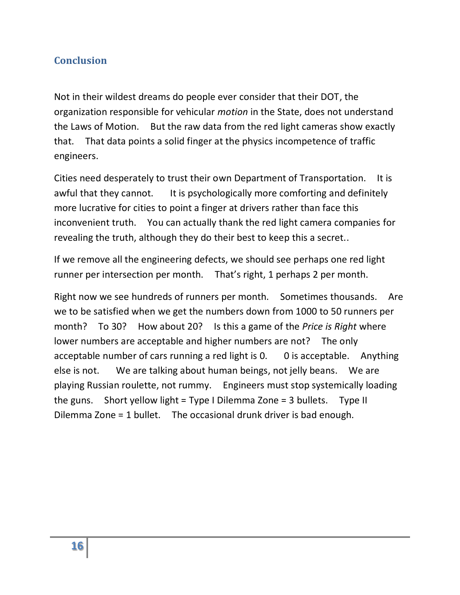#### <span id="page-15-0"></span>**Conclusion**

Not in their wildest dreams do people ever consider that their DOT, the organization responsible for vehicular *motion* in the State, does not understand the Laws of Motion. But the raw data from the red light cameras show exactly that. That data points a solid finger at the physics incompetence of traffic engineers.

Cities need desperately to trust their own Department of Transportation. It is awful that they cannot. It is psychologically more comforting and definitely more lucrative for cities to point a finger at drivers rather than face this inconvenient truth. You can actually thank the red light camera companies for revealing the truth, although they do their best to keep this a secret..

If we remove all the engineering defects, we should see perhaps one red light runner per intersection per month. That's right, 1 perhaps 2 per month.

Right now we see hundreds of runners per month. Sometimes thousands. Are we to be satisfied when we get the numbers down from 1000 to 50 runners per month? To 30? How about 20? Is this a game of the *Price is Right* where lower numbers are acceptable and higher numbers are not? The only acceptable number of cars running a red light is 0. 0 is acceptable. Anything else is not. We are talking about human beings, not jelly beans. We are playing Russian roulette, not rummy. Engineers must stop systemically loading the guns. Short yellow light = Type I Dilemma Zone = 3 bullets. Type II Dilemma Zone = 1 bullet. The occasional drunk driver is bad enough.